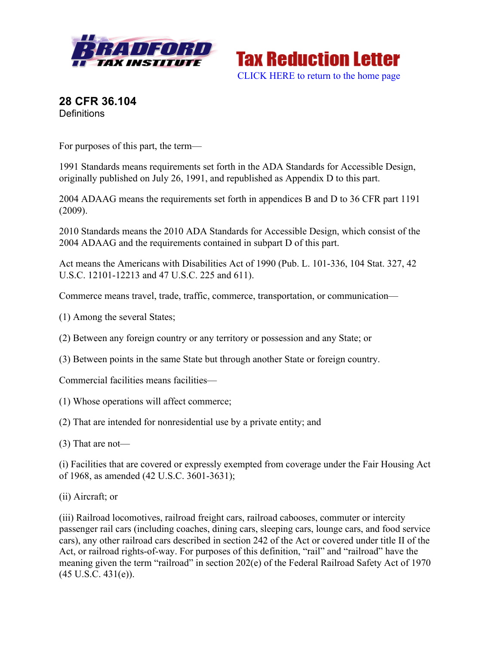



**28 CFR 36.104 Definitions** 

For purposes of this part, the term—

1991 Standards means requirements set forth in the ADA Standards for Accessible Design, originally published on July 26, 1991, and republished as Appendix D to this part.

2004 ADAAG means the requirements set forth in appendices B and D to 36 CFR part 1191 (2009).

2010 Standards means the 2010 ADA Standards for Accessible Design, which consist of the 2004 ADAAG and the requirements contained in subpart D of this part.

Act means the Americans with Disabilities Act of 1990 (Pub. L. 101-336, 104 Stat. 327, 42 U.S.C. 12101-12213 and 47 U.S.C. 225 and 611).

Commerce means travel, trade, traffic, commerce, transportation, or communication—

- (1) Among the several States;
- (2) Between any foreign country or any territory or possession and any State; or
- (3) Between points in the same State but through another State or foreign country.

Commercial facilities means facilities—

- (1) Whose operations will affect commerce;
- (2) That are intended for nonresidential use by a private entity; and
- (3) That are not—

(i) Facilities that are covered or expressly exempted from coverage under the Fair Housing Act of 1968, as amended (42 U.S.C. 3601-3631);

(ii) Aircraft; or

(iii) Railroad locomotives, railroad freight cars, railroad cabooses, commuter or intercity passenger rail cars (including coaches, dining cars, sleeping cars, lounge cars, and food service cars), any other railroad cars described in section 242 of the Act or covered under title II of the Act, or railroad rights-of-way. For purposes of this definition, "rail" and "railroad" have the meaning given the term "railroad" in section 202(e) of the Federal Railroad Safety Act of 1970  $(45 \text{ U.S.C. } 431(e))$ .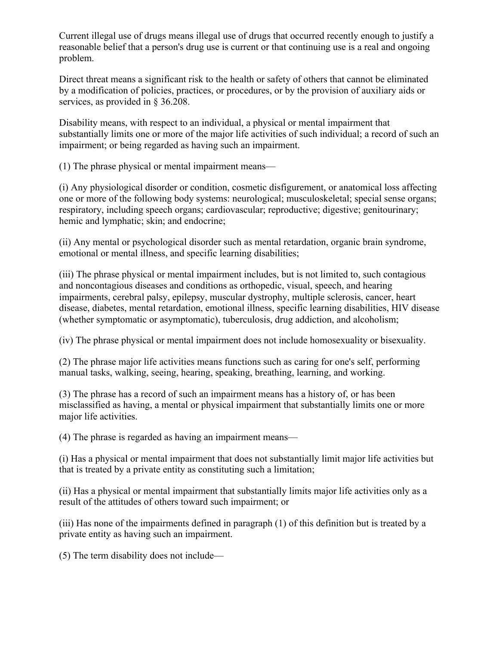Current illegal use of drugs means illegal use of drugs that occurred recently enough to justify a reasonable belief that a person's drug use is current or that continuing use is a real and ongoing problem.

Direct threat means a significant risk to the health or safety of others that cannot be eliminated by a modification of policies, practices, or procedures, or by the provision of auxiliary aids or services, as provided in § 36.208.

Disability means, with respect to an individual, a physical or mental impairment that substantially limits one or more of the major life activities of such individual; a record of such an impairment; or being regarded as having such an impairment.

(1) The phrase physical or mental impairment means—

(i) Any physiological disorder or condition, cosmetic disfigurement, or anatomical loss affecting one or more of the following body systems: neurological; musculoskeletal; special sense organs; respiratory, including speech organs; cardiovascular; reproductive; digestive; genitourinary; hemic and lymphatic; skin; and endocrine;

(ii) Any mental or psychological disorder such as mental retardation, organic brain syndrome, emotional or mental illness, and specific learning disabilities;

(iii) The phrase physical or mental impairment includes, but is not limited to, such contagious and noncontagious diseases and conditions as orthopedic, visual, speech, and hearing impairments, cerebral palsy, epilepsy, muscular dystrophy, multiple sclerosis, cancer, heart disease, diabetes, mental retardation, emotional illness, specific learning disabilities, HIV disease (whether symptomatic or asymptomatic), tuberculosis, drug addiction, and alcoholism;

(iv) The phrase physical or mental impairment does not include homosexuality or bisexuality.

(2) The phrase major life activities means functions such as caring for one's self, performing manual tasks, walking, seeing, hearing, speaking, breathing, learning, and working.

(3) The phrase has a record of such an impairment means has a history of, or has been misclassified as having, a mental or physical impairment that substantially limits one or more major life activities.

(4) The phrase is regarded as having an impairment means—

(i) Has a physical or mental impairment that does not substantially limit major life activities but that is treated by a private entity as constituting such a limitation;

(ii) Has a physical or mental impairment that substantially limits major life activities only as a result of the attitudes of others toward such impairment; or

(iii) Has none of the impairments defined in paragraph (1) of this definition but is treated by a private entity as having such an impairment.

(5) The term disability does not include—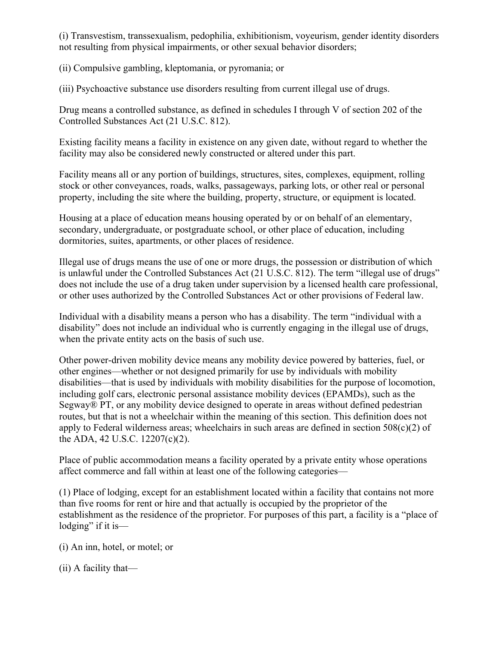(i) Transvestism, transsexualism, pedophilia, exhibitionism, voyeurism, gender identity disorders not resulting from physical impairments, or other sexual behavior disorders;

(ii) Compulsive gambling, kleptomania, or pyromania; or

(iii) Psychoactive substance use disorders resulting from current illegal use of drugs.

Drug means a controlled substance, as defined in schedules I through V of section 202 of the Controlled Substances Act (21 U.S.C. 812).

Existing facility means a facility in existence on any given date, without regard to whether the facility may also be considered newly constructed or altered under this part.

Facility means all or any portion of buildings, structures, sites, complexes, equipment, rolling stock or other conveyances, roads, walks, passageways, parking lots, or other real or personal property, including the site where the building, property, structure, or equipment is located.

Housing at a place of education means housing operated by or on behalf of an elementary, secondary, undergraduate, or postgraduate school, or other place of education, including dormitories, suites, apartments, or other places of residence.

Illegal use of drugs means the use of one or more drugs, the possession or distribution of which is unlawful under the Controlled Substances Act (21 U.S.C. 812). The term "illegal use of drugs" does not include the use of a drug taken under supervision by a licensed health care professional, or other uses authorized by the Controlled Substances Act or other provisions of Federal law.

Individual with a disability means a person who has a disability. The term "individual with a disability" does not include an individual who is currently engaging in the illegal use of drugs, when the private entity acts on the basis of such use.

Other power-driven mobility device means any mobility device powered by batteries, fuel, or other engines—whether or not designed primarily for use by individuals with mobility disabilities—that is used by individuals with mobility disabilities for the purpose of locomotion, including golf cars, electronic personal assistance mobility devices (EPAMDs), such as the Segway® PT, or any mobility device designed to operate in areas without defined pedestrian routes, but that is not a wheelchair within the meaning of this section. This definition does not apply to Federal wilderness areas; wheelchairs in such areas are defined in section  $508(c)(2)$  of the ADA, 42 U.S.C. 12207(c)(2).

Place of public accommodation means a facility operated by a private entity whose operations affect commerce and fall within at least one of the following categories—

(1) Place of lodging, except for an establishment located within a facility that contains not more than five rooms for rent or hire and that actually is occupied by the proprietor of the establishment as the residence of the proprietor. For purposes of this part, a facility is a "place of lodging" if it is—

(i) An inn, hotel, or motel; or

(ii) A facility that—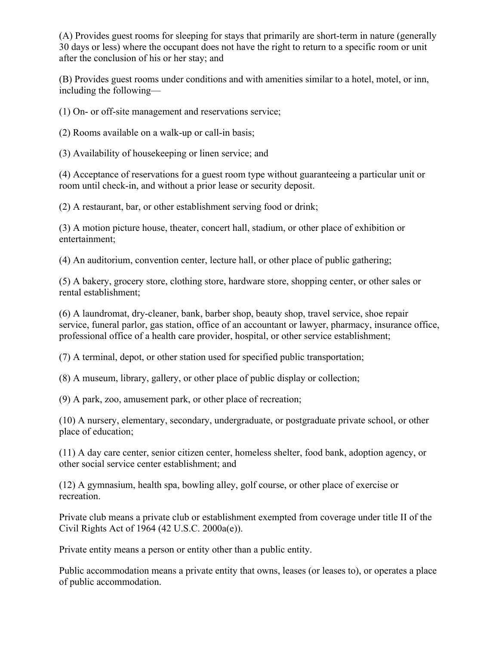(A) Provides guest rooms for sleeping for stays that primarily are short-term in nature (generally 30 days or less) where the occupant does not have the right to return to a specific room or unit after the conclusion of his or her stay; and

(B) Provides guest rooms under conditions and with amenities similar to a hotel, motel, or inn, including the following—

(1) On- or off-site management and reservations service;

(2) Rooms available on a walk-up or call-in basis;

(3) Availability of housekeeping or linen service; and

(4) Acceptance of reservations for a guest room type without guaranteeing a particular unit or room until check-in, and without a prior lease or security deposit.

(2) A restaurant, bar, or other establishment serving food or drink;

(3) A motion picture house, theater, concert hall, stadium, or other place of exhibition or entertainment;

(4) An auditorium, convention center, lecture hall, or other place of public gathering;

(5) A bakery, grocery store, clothing store, hardware store, shopping center, or other sales or rental establishment;

(6) A laundromat, dry-cleaner, bank, barber shop, beauty shop, travel service, shoe repair service, funeral parlor, gas station, office of an accountant or lawyer, pharmacy, insurance office, professional office of a health care provider, hospital, or other service establishment;

(7) A terminal, depot, or other station used for specified public transportation;

(8) A museum, library, gallery, or other place of public display or collection;

(9) A park, zoo, amusement park, or other place of recreation;

(10) A nursery, elementary, secondary, undergraduate, or postgraduate private school, or other place of education;

(11) A day care center, senior citizen center, homeless shelter, food bank, adoption agency, or other social service center establishment; and

(12) A gymnasium, health spa, bowling alley, golf course, or other place of exercise or recreation.

Private club means a private club or establishment exempted from coverage under title II of the Civil Rights Act of 1964 (42 U.S.C. 2000a(e)).

Private entity means a person or entity other than a public entity.

Public accommodation means a private entity that owns, leases (or leases to), or operates a place of public accommodation.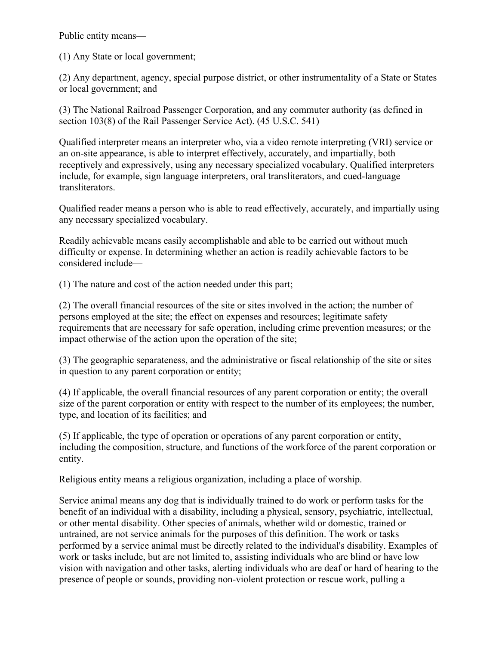Public entity means—

(1) Any State or local government;

(2) Any department, agency, special purpose district, or other instrumentality of a State or States or local government; and

(3) The National Railroad Passenger Corporation, and any commuter authority (as defined in section 103(8) of the Rail Passenger Service Act). (45 U.S.C. 541)

Qualified interpreter means an interpreter who, via a video remote interpreting (VRI) service or an on-site appearance, is able to interpret effectively, accurately, and impartially, both receptively and expressively, using any necessary specialized vocabulary. Qualified interpreters include, for example, sign language interpreters, oral transliterators, and cued-language transliterators.

Qualified reader means a person who is able to read effectively, accurately, and impartially using any necessary specialized vocabulary.

Readily achievable means easily accomplishable and able to be carried out without much difficulty or expense. In determining whether an action is readily achievable factors to be considered include—

(1) The nature and cost of the action needed under this part;

(2) The overall financial resources of the site or sites involved in the action; the number of persons employed at the site; the effect on expenses and resources; legitimate safety requirements that are necessary for safe operation, including crime prevention measures; or the impact otherwise of the action upon the operation of the site;

(3) The geographic separateness, and the administrative or fiscal relationship of the site or sites in question to any parent corporation or entity;

(4) If applicable, the overall financial resources of any parent corporation or entity; the overall size of the parent corporation or entity with respect to the number of its employees; the number, type, and location of its facilities; and

(5) If applicable, the type of operation or operations of any parent corporation or entity, including the composition, structure, and functions of the workforce of the parent corporation or entity.

Religious entity means a religious organization, including a place of worship.

Service animal means any dog that is individually trained to do work or perform tasks for the benefit of an individual with a disability, including a physical, sensory, psychiatric, intellectual, or other mental disability. Other species of animals, whether wild or domestic, trained or untrained, are not service animals for the purposes of this definition. The work or tasks performed by a service animal must be directly related to the individual's disability. Examples of work or tasks include, but are not limited to, assisting individuals who are blind or have low vision with navigation and other tasks, alerting individuals who are deaf or hard of hearing to the presence of people or sounds, providing non-violent protection or rescue work, pulling a